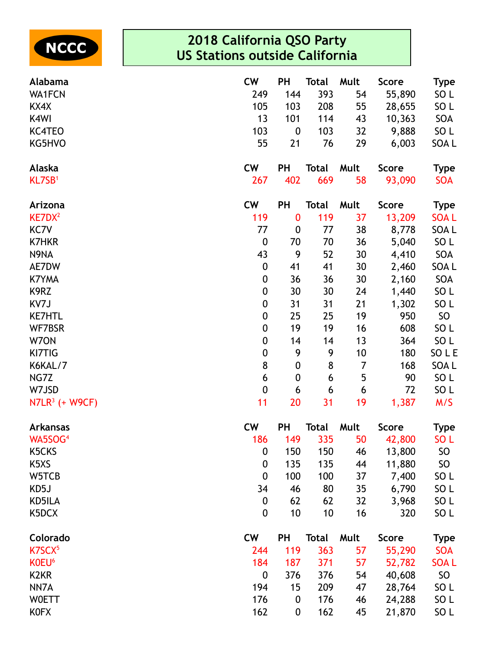

| Alabama                       | <b>CW</b>        | <b>PH</b>        | <b>Total</b> | Mult | <b>Score</b> | <b>Type</b>     |
|-------------------------------|------------------|------------------|--------------|------|--------------|-----------------|
| <b>WA1FCN</b>                 | 249              | 144              | 393          | 54   | 55,890       | SO <sub>L</sub> |
| KX4X                          | 105              | 103              | 208          | 55   | 28,655       | SO <sub>L</sub> |
| K4WI                          | 13               | 101              | 114          | 43   | 10,363       | SOA             |
| <b>KC4TEO</b>                 | 103              | $\boldsymbol{0}$ | 103          | 32   | 9,888        | SO <sub>L</sub> |
| KG5HVO                        | 55               | 21               | 76           | 29   | 6,003        | SOA L           |
| Alaska                        | <b>CW</b>        | PH               | <b>Total</b> | Mult | <b>Score</b> | <b>Type</b>     |
| KL7SB <sup>1</sup>            | 267              | 402              | 669          | 58   | 93,090       | <b>SOA</b>      |
| Arizona                       | <b>CW</b>        | <b>PH</b>        | <b>Total</b> | Mult | <b>Score</b> | <b>Type</b>     |
| KE7DX <sup>2</sup>            | 119              | $\bf{0}$         | 119          | 37   | 13,209       | <b>SOAL</b>     |
| KC7V                          | 77               | $\boldsymbol{0}$ | 77           | 38   | 8,778        | SOA L           |
| <b>K7HKR</b>                  | $\boldsymbol{0}$ | 70               | 70           | 36   | 5,040        | SO <sub>L</sub> |
| N9NA                          | 43               | 9                | 52           | 30   | 4,410        | SOA             |
| AE7DW                         | $\boldsymbol{0}$ | 41               | 41           | 30   | 2,460        | SOA L           |
| <b>K7YMA</b>                  | $\boldsymbol{0}$ | 36               | 36           | 30   | 2,160        | SOA             |
| K9RZ                          | $\boldsymbol{0}$ | 30               | 30           | 24   | 1,440        | SO <sub>L</sub> |
| KV7J                          | $\boldsymbol{0}$ | 31               | 31           | 21   | 1,302        | SO <sub>L</sub> |
| <b>KE7HTL</b>                 | $\boldsymbol{0}$ | 25               | 25           | 19   | 950          | SO              |
| WF7BSR                        | $\boldsymbol{0}$ | 19               | 19           | 16   | 608          | SO <sub>L</sub> |
| W70N                          | $\boldsymbol{0}$ | 14               | 14           | 13   | 364          | SO <sub>L</sub> |
| KI7TIG                        | 0                | 9                | 9            | 10   | 180          | SO L E          |
| K6KAL/7                       | 8                | $\boldsymbol{0}$ | 8            | 7    | 168          | SOA L           |
| NG7Z                          | 6                | $\boldsymbol{0}$ | 6            | 5    | 90           | SO <sub>L</sub> |
| W7JSD                         | $\mathbf 0$      | 6                | 6            | 6    | 72           | SO <sub>L</sub> |
| $N7LR^3$ (+ W9CF)             | 11               | 20               | 31           | 19   | 1,387        | M/S             |
| <b>Arkansas</b>               | <b>CW</b>        | PH               | <b>Total</b> | Mult | <b>Score</b> | <b>Type</b>     |
| WA5SOG <sup>4</sup>           | 186              | 149              | 335          | 50   | 42,800       | SO <sub>L</sub> |
| K5CKS                         | 0                | 150              | 150          | 46   | 13,800       | <b>SO</b>       |
| K <sub>5</sub> X <sub>S</sub> | $\mathbf 0$      | 135              | 135          | 44   | 11,880       | <b>SO</b>       |
| W5TCB                         | $\mathbf 0$      | 100              | 100          | 37   | 7,400        | SO <sub>L</sub> |
| KD5J                          | 34               | 46               | 80           | 35   | 6,790        | SO <sub>L</sub> |
| KD5ILA                        | 0                | 62               | 62           | 32   | 3,968        | SO <sub>L</sub> |
| K5DCX                         | $\mathbf 0$      | 10               | 10           | 16   | 320          | SO <sub>L</sub> |
| Colorado                      | <b>CW</b>        | PH               | <b>Total</b> | Mult | <b>Score</b> | <b>Type</b>     |
| K7SCX <sup>5</sup>            | 244              | 119              | 363          | 57   | 55,290       | <b>SOA</b>      |
| K0EU <sup>6</sup>             | 184              | 187              | 371          | 57   | 52,782       | <b>SOAL</b>     |
| K <sub>2</sub> K <sub>R</sub> | $\mathbf 0$      | 376              | 376          | 54   | 40,608       | SO              |
| NN7A                          | 194              | 15               | 209          | 47   | 28,764       | SO <sub>L</sub> |
| <b>WOETT</b>                  | 176              | $\boldsymbol{0}$ | 176          | 46   | 24,288       | SO <sub>L</sub> |
| <b>KOFX</b>                   | 162              | 0                | 162          | 45   | 21,870       | SO <sub>L</sub> |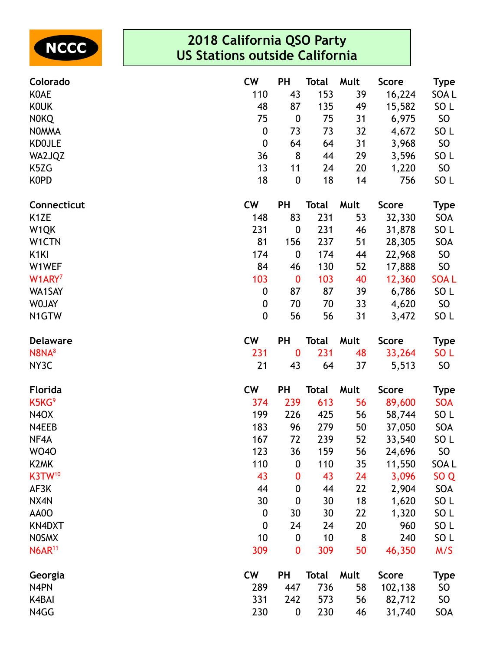

| Colorado                      | <b>CW</b>        | <b>PH</b>        | Total        | Mult | <b>Score</b> | <b>Type</b>     |
|-------------------------------|------------------|------------------|--------------|------|--------------|-----------------|
| <b>KOAE</b>                   | 110              | 43               | 153          | 39   | 16,224       | SOA L           |
| <b>KOUK</b>                   | 48               | 87               | 135          | 49   | 15,582       | SO <sub>L</sub> |
| <b>NOKQ</b>                   | 75               | $\boldsymbol{0}$ | 75           | 31   | 6,975        | <b>SO</b>       |
| <b>NOMMA</b>                  | $\boldsymbol{0}$ | 73               | 73           | 32   | 4,672        | SO L            |
| <b>KDOJLE</b>                 | $\boldsymbol{0}$ | 64               | 64           | 31   | 3,968        | <b>SO</b>       |
| WA2JQZ                        | 36               | 8                | 44           | 29   | 3,596        | SO <sub>L</sub> |
| K5ZG                          | 13               | 11               | 24           | 20   | 1,220        | SO <sub>1</sub> |
| <b>KOPD</b>                   | 18               | $\boldsymbol{0}$ | 18           | 14   | 756          | SO <sub>L</sub> |
| Connecticut                   | <b>CW</b>        | PH               | <b>Total</b> | Mult | <b>Score</b> | <b>Type</b>     |
| K <sub>1</sub> ZE             | 148              | 83               | 231          | 53   | 32,330       | SOA             |
| W1QK                          | 231              | $\boldsymbol{0}$ | 231          | 46   | 31,878       | SO <sub>L</sub> |
| W1CTN                         | 81               | 156              | 237          | 51   | 28,305       | SOA             |
| K <sub>1</sub> KI             | 174              | $\boldsymbol{0}$ | 174          | 44   | 22,968       | SO              |
| W1WEF                         | 84               | 46               | 130          | 52   | 17,888       | SO              |
| W1ARY <sup>7</sup>            | 103              | $\boldsymbol{0}$ | 103          | 40   | 12,360       | <b>SOAL</b>     |
| WA1SAY                        | $\boldsymbol{0}$ | 87               | 87           | 39   | 6,786        | SO <sub>L</sub> |
| <b>WOJAY</b>                  | $\boldsymbol{0}$ | 70               | 70           | 33   | 4,620        | SO              |
| N1GTW                         | $\mathbf 0$      | 56               | 56           | 31   | 3,472        | SO <sub>L</sub> |
| <b>Delaware</b>               | <b>CW</b>        | <b>PH</b>        | <b>Total</b> | Mult | Score        | <b>Type</b>     |
| N8NA <sup>8</sup>             | 231              | $\bf{0}$         | 231          | 48   | 33,264       | SO <sub>L</sub> |
| NY3C                          | 21               | 43               | 64           | 37   | 5,513        | SO              |
| <b>Florida</b>                | <b>CW</b>        | <b>PH</b>        | <b>Total</b> | Mult | <b>Score</b> | <b>Type</b>     |
| K5KG <sup>9</sup>             | 374              | 239              | 613          | 56   | 89,600       | <b>SOA</b>      |
| N <sub>4</sub> O <sub>X</sub> | 199              | 226              | 425          | 56   | 58,744       | SO <sub>L</sub> |
| N4EEB                         | 183              | 96               | 279          | 50   | 37,050       | SOA             |
| NF4A                          | 167              | 72               | 239          | 52   | 33,540       | SO <sub>L</sub> |
| <b>WO40</b>                   | 123              | 36               | 159          | 56   | 24,696       | <b>SO</b>       |
| K <sub>2</sub> MK             | 110              | $\boldsymbol{0}$ | 110          | 35   | 11,550       | SOA L           |
| K3TW <sup>10</sup>            | 43               | $\boldsymbol{0}$ | 43           | 24   | 3,096        | SO <sub>Q</sub> |
| AF3K                          | 44               | $\boldsymbol{0}$ | 44           | 22   | 2,904        | SOA             |
| NX4N                          | 30               | $\boldsymbol{0}$ | 30           | 18   | 1,620        | SO <sub>L</sub> |
| AA0O                          | $\boldsymbol{0}$ | 30               | 30           | 22   | 1,320        | SO <sub>L</sub> |
| <b>KN4DXT</b>                 | $\boldsymbol{0}$ | 24               | 24           | 20   | 960          | SO <sub>L</sub> |
| <b>NOSMX</b>                  | 10               | $\boldsymbol{0}$ | 10           | 8    | 240          | SO <sub>L</sub> |
| <b>N6AR<sup>11</sup></b>      | 309              | $\boldsymbol{0}$ | 309          | 50   | 46,350       | M/S             |
| Georgia                       | <b>CW</b>        | PH               | <b>Total</b> | Mult | <b>Score</b> | <b>Type</b>     |
| N4PN                          | 289              | 447              | 736          | 58   | 102,138      | <b>SO</b>       |
| K4BAI                         | 331              | 242              | 573          | 56   | 82,712       | <b>SO</b>       |
| N4GG                          | 230              | $\boldsymbol{0}$ | 230          | 46   | 31,740       | SOA             |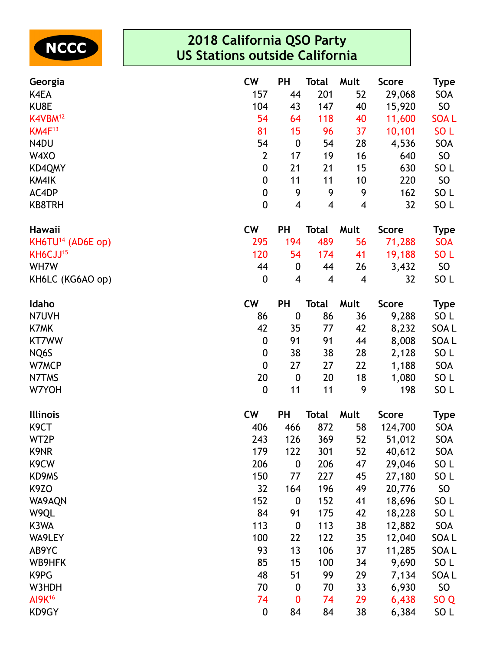

| Georgia                       | <b>CW</b>        | <b>PH</b>               | <b>Total</b> | Mult                     | <b>Score</b> | <b>Type</b>     |
|-------------------------------|------------------|-------------------------|--------------|--------------------------|--------------|-----------------|
| K4EA                          | 157              | 44                      | 201          | 52                       | 29,068       | SOA             |
| KU8E                          | 104              | 43                      | 147          | 40                       | 15,920       | SO              |
| K4VBM <sup>12</sup>           | 54               | 64                      | 118          | 40                       | 11,600       | <b>SOAL</b>     |
| $KM4F^{13}$                   | 81               | 15                      | 96           | 37                       | 10,101       | SO <sub>L</sub> |
| N4DU                          | 54               | $\boldsymbol{0}$        | 54           | 28                       | 4,536        | SOA             |
| W4XO                          | $\overline{2}$   | 17                      | 19           | 16                       | 640          | SO              |
| KD4QMY                        | $\boldsymbol{0}$ | 21                      | 21           | 15                       | 630          | SO <sub>L</sub> |
| KM4IK                         | 0                | 11                      | 11           | 10                       | 220          | SO              |
| AC4DP                         | $\boldsymbol{0}$ | 9                       | 9            | 9                        | 162          | SO <sub>L</sub> |
| <b>KB8TRH</b>                 | 0                | $\overline{\mathbf{4}}$ | 4            | 4                        | 32           | SO <sub>L</sub> |
| Hawaii                        | <b>CW</b>        | <b>PH</b>               | <b>Total</b> | Mult                     | <b>Score</b> | <b>Type</b>     |
| KH6TU <sup>14</sup> (AD6E op) | 295              | 194                     | 489          | 56                       | 71,288       | <b>SOA</b>      |
| KH6CJJ <sup>15</sup>          | 120              | 54                      | 174          | 41                       | 19,188       | SO <sub>L</sub> |
| WH7W                          | 44               | $\boldsymbol{0}$        | 44           | 26                       | 3,432        | SO              |
| KH6LC (KG6AO op)              | 0                | 4                       | 4            | $\overline{\mathcal{A}}$ | 32           | SO <sub>L</sub> |
| Idaho                         | <b>CW</b>        | <b>PH</b>               | <b>Total</b> | Mult                     | <b>Score</b> | <b>Type</b>     |
| N7UVH                         | 86               | $\boldsymbol{0}$        | 86           | 36                       | 9,288        | SO L            |
| K7MK                          | 42               | 35                      | 77           | 42                       | 8,232        | SOA L           |
| <b>KT7WW</b>                  | $\boldsymbol{0}$ | 91                      | 91           | 44                       | 8,008        | SOA L           |
| NQ6S                          | $\boldsymbol{0}$ | 38                      | 38           | 28                       | 2,128        | SO <sub>L</sub> |
| W7MCP                         | $\boldsymbol{0}$ | 27                      | 27           | 22                       | 1,188        | SOA             |
| N7TMS                         | 20               | $\boldsymbol{0}$        | 20           | 18                       | 1,080        | SO L            |
| W7YOH                         | $\boldsymbol{0}$ | 11                      | 11           | 9                        | 198          | SO <sub>L</sub> |
| <b>Illinois</b>               | <b>CW</b>        | <b>PH</b>               | <b>Total</b> | Mult                     | <b>Score</b> | <b>Type</b>     |
| K <sub>9</sub> CT             | 406              | 466                     | 872          | 58                       | 124,700      | SOA             |
| WT2P                          | 243              | 126                     | 369          | 52                       | 51,012       | SOA             |
| K9NR                          | 179              | 122                     | 301          | 52                       | 40,612       | SOA             |
| K9CW                          | 206              | $\boldsymbol{0}$        | 206          | 47                       | 29,046       | SO <sub>L</sub> |
| KD9MS                         | 150              | 77                      | 227          | 45                       | 27,180       | SO <sub>L</sub> |
| K <sub>9</sub> ZO             | 32               | 164                     | 196          | 49                       | 20,776       | SO              |
| WA9AQN                        | 152              | $\boldsymbol{0}$        | 152          | 41                       | 18,696       | SO L            |
| W9QL                          | 84               | 91                      | 175          | 42                       | 18,228       | SO <sub>L</sub> |
| K3WA                          | 113              | $\boldsymbol{0}$        | 113          | 38                       | 12,882       | SOA             |
| WA9LEY                        | 100              | 22                      | 122          | 35                       | 12,040       | SOA L           |
| AB9YC                         | 93               | 13                      | 106          | 37                       | 11,285       | SOA L           |
| WB9HFK                        | 85               | 15                      | 100          | 34                       | 9,690        | SO L            |
| K9PG                          | 48               | 51                      | 99           | 29                       | 7,134        | SOA L           |
| W3HDH                         | 70               | $\boldsymbol{0}$        | 70           | 33                       | 6,930        | SO              |
| AI9K <sup>16</sup>            | 74               | $\bf{0}$                | 74           | 29                       | 6,438        | SO <sub>Q</sub> |
| KD9GY                         | $\boldsymbol{0}$ | 84                      | 84           | 38                       | 6,384        | SO L            |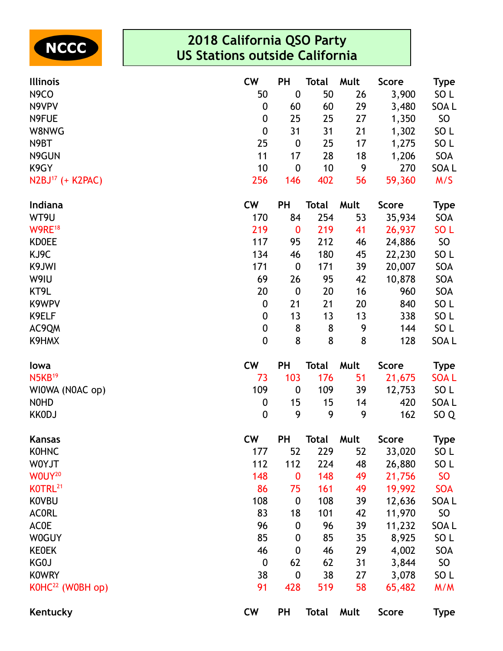

| <b>Illinois</b>              | <b>CW</b>        | <b>PH</b>        | <b>Total</b> | Mult | <b>Score</b> | <b>Type</b>     |
|------------------------------|------------------|------------------|--------------|------|--------------|-----------------|
| N <sub>9</sub> CO            | 50               | $\boldsymbol{0}$ | 50           | 26   | 3,900        | SO <sub>L</sub> |
| N9VPV                        | 0                | 60               | 60           | 29   | 3,480        | SOA L           |
| N9FUE                        | $\boldsymbol{0}$ | 25               | 25           | 27   | 1,350        | <b>SO</b>       |
| W8NWG                        | $\boldsymbol{0}$ | 31               | 31           | 21   | 1,302        | SO <sub>L</sub> |
| N9BT                         | 25               | $\boldsymbol{0}$ | 25           | 17   | 1,275        | SO <sub>L</sub> |
| N9GUN                        | 11               | 17               | 28           | 18   | 1,206        | SOA             |
| K9GY                         | 10               | $\boldsymbol{0}$ | 10           | 9    | 270          | SOA L           |
| N2BJ <sup>17</sup> (+ K2PAC) | 256              | 146              | 402          | 56   | 59,360       | M/S             |
| Indiana                      | <b>CW</b>        | <b>PH</b>        | <b>Total</b> | Mult | <b>Score</b> | <b>Type</b>     |
| WT9U                         | 170              | 84               | 254          | 53   | 35,934       | SOA             |
| W9RE <sup>18</sup>           | 219              | $\boldsymbol{0}$ | 219          | 41   | 26,937       | SO <sub>L</sub> |
| <b>KDOEE</b>                 | 117              | 95               | 212          | 46   | 24,886       | <b>SO</b>       |
| KJ9C                         | 134              | 46               | 180          | 45   | 22,230       | SO <sub>L</sub> |
| K9JWI                        | 171              | $\boldsymbol{0}$ | 171          | 39   | 20,007       | SOA             |
| W9IU                         | 69               | 26               | 95           | 42   | 10,878       | SOA             |
| KT9L                         | 20               | $\boldsymbol{0}$ | 20           | 16   | 960          | SOA             |
| K9WPV                        | 0                | 21               | 21           | 20   | 840          | SO <sub>L</sub> |
| K9ELF                        | $\boldsymbol{0}$ | 13               | 13           | 13   | 338          | SO <sub>L</sub> |
| AC9QM                        | $\boldsymbol{0}$ | 8                | 8            | 9    | 144          | SO <sub>L</sub> |
| K9HMX                        | $\mathbf 0$      | 8                | 8            | 8    | 128          | SOA L           |
| lowa                         | <b>CW</b>        | <b>PH</b>        | <b>Total</b> | Mult | <b>Score</b> | <b>Type</b>     |
| $N5KB^{19}$                  | 73               | 103              | 176          | 51   | 21,675       | <b>SOAL</b>     |
| WIOWA (NOAC op)              | 109              | $\boldsymbol{0}$ | 109          | 39   | 12,753       | SO <sub>L</sub> |
| <b>NOHD</b>                  | 0                | 15               | 15           | 14   | 420          | SOA L           |
| <b>KKODJ</b>                 | $\boldsymbol{0}$ | 9                | 9            | 9    | 162          | SO <sub>Q</sub> |
| <b>Kansas</b>                | <b>CW</b>        | PH               | <b>Total</b> | Mult | <b>Score</b> | <b>Type</b>     |
| <b>KOHNC</b>                 | 177              | 52               | 229          | 52   | 33,020       | SO L            |
| W0YJT                        | 112              | 112              | 224          | 48   | 26,880       | SO <sub>L</sub> |
| WOUY <sup>20</sup>           | 148              | $\boldsymbol{0}$ | 148          | 49   | 21,756       | <b>SO</b>       |
| KOTRL <sup>21</sup>          | 86               | 75               | 161          | 49   | 19,992       | <b>SOA</b>      |
| <b>KOVBU</b>                 | 108              | $\boldsymbol{0}$ | 108          | 39   | 12,636       | SOA L           |
| <b>ACORL</b>                 | 83               | 18               | 101          | 42   | 11,970       | <b>SO</b>       |
| <b>ACOE</b>                  | 96               | $\boldsymbol{0}$ | 96           | 39   | 11,232       | SOA L           |
| <b>W0GUY</b>                 | 85               | 0                | 85           | 35   | 8,925        | SO <sub>L</sub> |
| <b>KEOEK</b>                 | 46               | $\boldsymbol{0}$ | 46           | 29   | 4,002        | SOA             |
| KG0J                         | $\boldsymbol{0}$ | 62               | 62           | 31   | 3,844        | <b>SO</b>       |
| <b>KOWRY</b>                 | 38               | $\boldsymbol{0}$ | 38           | 27   | 3,078        | SO <sub>L</sub> |
| K0HC <sup>22</sup> (W0BH op) | 91               | 428              | 519          | 58   | 65,482       | M/M             |
| Kentucky                     | <b>CW</b>        | <b>PH</b>        | <b>Total</b> | Mult | <b>Score</b> | <b>Type</b>     |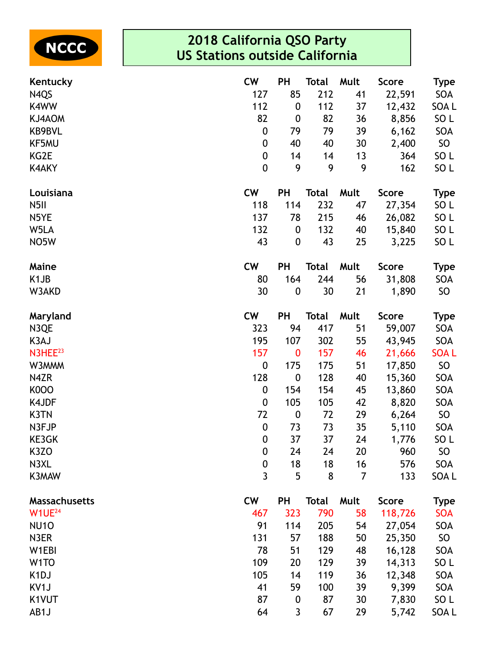

| Kentucky             | <b>CW</b>        | <b>PH</b>        | <b>Total</b> | Mult | <b>Score</b> | Type            |
|----------------------|------------------|------------------|--------------|------|--------------|-----------------|
| N <sub>4QS</sub>     | 127              | 85               | 212          | 41   | 22,591       | SOA             |
| K4WW                 | 112              | $\boldsymbol{0}$ | 112          | 37   | 12,432       | SOA L           |
| KJ4AOM               | 82               | $\boldsymbol{0}$ | 82           | 36   | 8,856        | SO <sub>L</sub> |
| KB9BVL               | $\boldsymbol{0}$ | 79               | 79           | 39   | 6,162        | SOA             |
| KF5MU                | $\boldsymbol{0}$ | 40               | 40           | 30   | 2,400        | SO              |
| KG2E                 | $\pmb{0}$        | 14               | 14           | 13   | 364          | SO <sub>L</sub> |
| <b>K4AKY</b>         | $\mathbf 0$      | 9                | 9            | 9    | 162          | SO <sub>L</sub> |
| Louisiana            | <b>CW</b>        | <b>PH</b>        | <b>Total</b> | Mult | <b>Score</b> | <b>Type</b>     |
| N <sub>5</sub> II    | 118              | 114              | 232          | 47   | 27,354       | SO <sub>L</sub> |
| N5YE                 | 137              | 78               | 215          | 46   | 26,082       | SO <sub>L</sub> |
| W5LA                 | 132              | $\boldsymbol{0}$ | 132          | 40   | 15,840       | SO <sub>L</sub> |
| NO <sub>5</sub> W    | 43               | $\boldsymbol{0}$ | 43           | 25   | 3,225        | SO <sub>L</sub> |
| Maine                | <b>CW</b>        | <b>PH</b>        | <b>Total</b> | Mult | <b>Score</b> | <b>Type</b>     |
| K <sub>1</sub> JB    | 80               | 164              | 244          | 56   | 31,808       | SOA             |
| W3AKD                | 30               | $\boldsymbol{0}$ | 30           | 21   | 1,890        | SO              |
| Maryland             | <b>CW</b>        | <b>PH</b>        | <b>Total</b> | Mult | <b>Score</b> | <b>Type</b>     |
| N3QE                 | 323              | 94               | 417          | 51   | 59,007       | SOA             |
| K3AJ                 | 195              | 107              | 302          | 55   | 43,945       | SOA             |
| N3HEE <sup>23</sup>  | 157              | $\bf{0}$         | 157          | 46   | 21,666       | <b>SOAL</b>     |
| W3MMM                | $\boldsymbol{0}$ | 175              | 175          | 51   | 17,850       | SO              |
| N4ZR                 | 128              | $\boldsymbol{0}$ | 128          | 40   | 15,360       | SOA             |
| <b>K000</b>          | $\boldsymbol{0}$ | 154              | 154          | 45   | 13,860       | SOA             |
| K4JDF                | $\boldsymbol{0}$ | 105              | 105          | 42   | 8,820        | SOA             |
| K3TN                 | 72               | $\boldsymbol{0}$ | 72           | 29   | 6,264        | SO              |
| N3FJP                | $\boldsymbol{0}$ | 73               | 73           | 35   | 5,110        | SOA             |
| KE3GK                | $\mathbf 0$      | 37               | 37           | 24   | 1,776        | SO <sub>L</sub> |
| K <sub>3</sub> ZO    | 0                | 24               | 24           | 20   | 960          | SO              |
| N3XL                 | $\mathbf 0$      | 18               | 18           | 16   | 576          | SOA             |
| K3MAW                | 3                | 5                | 8            | 7    | 133          | SOA L           |
| <b>Massachusetts</b> | <b>CW</b>        | <b>PH</b>        | <b>Total</b> | Mult | <b>Score</b> | <b>Type</b>     |
| W1UE <sup>24</sup>   | 467              | 323              | 790          | 58   | 118,726      | <b>SOA</b>      |
| <b>NU10</b>          | 91               | 114              | 205          | 54   | 27,054       | SOA             |
| N3ER                 | 131              | 57               | 188          | 50   | 25,350       | SO              |
| W1EBI                | 78               | 51               | 129          | 48   | 16,128       | SOA             |
| W <sub>1</sub> TO    | 109              | 20               | 129          | 39   | 14,313       | SO <sub>L</sub> |
| K <sub>1</sub> DJ    | 105              | 14               | 119          | 36   | 12,348       | SOA             |
| KV <sub>1</sub> J    | 41               | 59               | 100          | 39   | 9,399        | SOA             |
| K1VUT                | 87               | $\boldsymbol{0}$ | 87           | 30   | 7,830        | SO <sub>L</sub> |
| AB1J                 | 64               | 3                | 67           | 29   | 5,742        | SOA L           |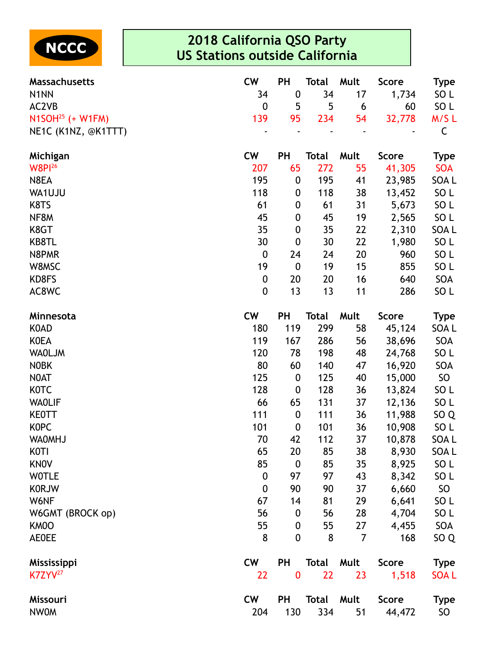

| <b>Massachusetts</b> | <b>CW</b>        | PH               | <b>Total</b> | Mult           | <b>Score</b> | <b>Type</b>     |
|----------------------|------------------|------------------|--------------|----------------|--------------|-----------------|
| N <sub>1</sub> NN    | 34               | $\boldsymbol{0}$ | 34           | 17             | 1,734        | SO <sub>L</sub> |
| AC2VB                | $\boldsymbol{0}$ | 5                | 5            | 6              | 60           | SO L            |
| $N1SOH25$ (+ W1FM)   | 139              | 95               | 234          | 54             | 32,778       | M/SL            |
| NE1C (K1NZ, @K1TTT)  |                  |                  |              |                |              | C               |
| Michigan             | <b>CW</b>        | PH               | <b>Total</b> | Mult           | <b>Score</b> | <b>Type</b>     |
| <b>W8Pl26</b>        | 207              | 65               | 272          | 55             | 41,305       | <b>SOA</b>      |
| N8EA                 | 195              | 0                | 195          | 41             | 23,985       | SOA L           |
| WA1UJU               | 118              | 0                | 118          | 38             | 13,452       | SO <sub>L</sub> |
| K8TS                 | 61               | 0                | 61           | 31             | 5,673        | SO <sub>L</sub> |
| NF8M                 | 45               | $\boldsymbol{0}$ | 45           | 19             | 2,565        | SO <sub>L</sub> |
| K8GT                 | 35               | $\boldsymbol{0}$ | 35           | 22             | 2,310        | SOA L           |
| KB8TL                | 30               | $\boldsymbol{0}$ | 30           | 22             | 1,980        | SO <sub>L</sub> |
| N8PMR                | $\boldsymbol{0}$ | 24               | 24           | 20             | 960          | SO <sub>L</sub> |
| W8MSC                | 19               | $\boldsymbol{0}$ | 19           | 15             | 855          | SO <sub>L</sub> |
| KD8FS                | $\boldsymbol{0}$ | 20               | 20           | 16             | 640          | SOA             |
| AC8WC                | $\mathbf 0$      | 13               | 13           | 11             | 286          | SO <sub>L</sub> |
| Minnesota            | <b>CW</b>        | PH               | <b>Total</b> | Mult           | <b>Score</b> | <b>Type</b>     |
| <b>KOAD</b>          | 180              | 119              | 299          | 58             | 45,124       | SOA L           |
| <b>KOEA</b>          | 119              | 167              | 286          | 56             | 38,696       | SOA             |
| <b>WAOLJM</b>        | 120              | 78               | 198          | 48             | 24,768       | SO <sub>L</sub> |
| <b>NOBK</b>          | 80               | 60               | 140          | 47             | 16,920       | SOA             |
| N0AT                 | 125              | $\boldsymbol{0}$ | 125          | 40             | 15,000       | SO <sub>1</sub> |
| <b>KOTC</b>          | 128              | 0                | 128          | 36             | 13,824       | SO <sub>L</sub> |
| <b>WAOLIF</b>        | 66               | 65               | 131          | 37             | 12,136       | SO <sub>L</sub> |
| <b>KEOTT</b>         | 111              | $\boldsymbol{0}$ | 111          | 36             | 11,988       | SO <sub>Q</sub> |
| <b>KOPC</b>          | 101              | $\boldsymbol{0}$ | 101          | 36             | 10,908       | SO <sub>L</sub> |
| <b>WAOMHJ</b>        | 70               | 42               | 112          | 37             | 10,878       | SOA L           |
| KOTI                 | 65               | 20               | 85           | 38             | 8,930        | SOA L           |
| <b>KNOV</b>          | 85               | $\boldsymbol{0}$ | 85           | 35             | 8,925        | SO <sub>L</sub> |
| <b>WOTLE</b>         | $\mathbf 0$      | 97               | 97           | 43             | 8,342        | SO <sub>L</sub> |
| <b>KORJW</b>         | $\mathbf 0$      | 90               | 90           | 37             | 6,660        | SO <sub>1</sub> |
| W6NF                 | 67               | 14               | 81           | 29             | 6,641        | SO L            |
| W6GMT (BROCK op)     | 56               | 0                | 56           | 28             | 4,704        | SO <sub>L</sub> |
| KM0O                 | 55               | 0                | 55           | 27             | 4,455        | SOA             |
| <b>AE0EE</b>         | 8                | $\mathbf 0$      | 8            | $\overline{7}$ | 168          | SO <sub>Q</sub> |
| Mississippi          | <b>CW</b>        | PH               | Total        | Mult           | <b>Score</b> | <b>Type</b>     |
| $K7ZYY^{27}$         | 22               | $\bf{0}$         | 22           | 23             | 1,518        | <b>SOAL</b>     |
| Missouri             | <b>CW</b>        | PH               | <b>Total</b> | Mult           | <b>Score</b> | <b>Type</b>     |
| <b>NWOM</b>          | 204              | 130              | 334          | 51             | 44,472       | SO              |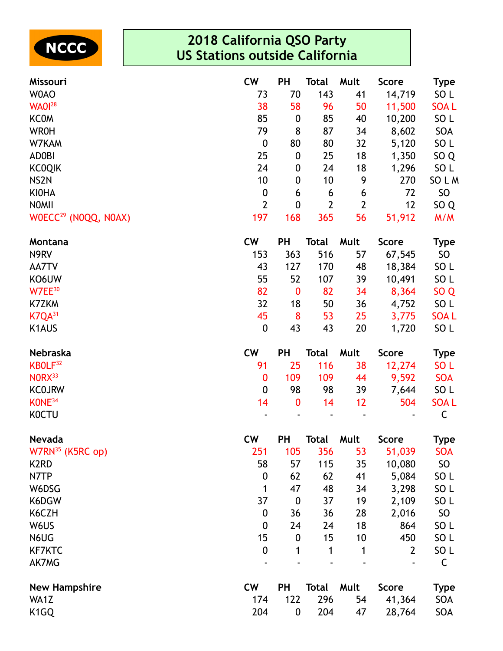

| Missouri                         | <b>CW</b>        | PH               | Total          | Mult           | <b>Score</b>   | <b>Type</b>     |
|----------------------------------|------------------|------------------|----------------|----------------|----------------|-----------------|
| W0AO                             | 73               | 70               | 143            | 41             | 14,719         | SO <sub>L</sub> |
| <b>WA0128</b>                    | 38               | 58               | 96             | 50             | 11,500         | <b>SOAL</b>     |
| <b>KCOM</b>                      | 85               | $\boldsymbol{0}$ | 85             | 40             | 10,200         | SO <sub>L</sub> |
| <b>WR0H</b>                      | 79               | 8                | 87             | 34             | 8,602          | SOA             |
| W7KAM                            | $\boldsymbol{0}$ | 80               | 80             | 32             | 5,120          | SO <sub>L</sub> |
| <b>ADOBI</b>                     | 25               | $\boldsymbol{0}$ | 25             | 18             | 1,350          | SO <sub>Q</sub> |
| <b>KCOQIK</b>                    | 24               | $\boldsymbol{0}$ | 24             | 18             | 1,296          | SO <sub>L</sub> |
| NS <sub>2N</sub>                 | 10               | $\boldsymbol{0}$ | 10             | 9              | 270            | SO L M          |
| <b>KIOHA</b>                     | $\boldsymbol{0}$ | 6                | 6              | 6              | 72             | SO              |
| <b>NOMII</b>                     | $\overline{2}$   | 0                | $\overline{2}$ | $\overline{2}$ | 12             | SO <sub>Q</sub> |
| WOECC <sup>29</sup> (NOQQ, NOAX) | 197              | 168              | 365            | 56             | 51,912         | M/M             |
| Montana                          | <b>CW</b>        | <b>PH</b>        | <b>Total</b>   | Mult           | <b>Score</b>   | <b>Type</b>     |
| N9RV                             | 153              | 363              | 516            | 57             | 67,545         | SO              |
| AA7TV                            | 43               | 127              | 170            | 48             | 18,384         | SO <sub>L</sub> |
| KO6UW                            | 55               | 52               | 107            | 39             | 10,491         | SO <sub>L</sub> |
| W7EE <sup>30</sup>               | 82               | $\bf{0}$         | 82             | 34             | 8,364          | SO <sub>Q</sub> |
| K7ZKM                            | 32               | 18               | 50             | 36             | 4,752          | SO <sub>L</sub> |
| $K7QA^{31}$                      | 45               | 8                | 53             | 25             | 3,775          | <b>SOAL</b>     |
| K1AUS                            | $\boldsymbol{0}$ | 43               | 43             | 20             | 1,720          | SO <sub>L</sub> |
| Nebraska                         | <b>CW</b>        | <b>PH</b>        | <b>Total</b>   | Mult           | <b>Score</b>   | <b>Type</b>     |
| KBOLF <sup>32</sup>              | 91               | 25               | 116            | 38             | 12,274         | SO <sub>L</sub> |
| NORX <sup>33</sup>               | $\bf{0}$         | 109              | 109            | 44             | 9,592          | <b>SOA</b>      |
| <b>KCOJRW</b>                    | $\boldsymbol{0}$ | 98               | 98             | 39             | 7,644          | SO <sub>L</sub> |
| KONE <sup>34</sup>               | 14               | $\bf{0}$         | 14             | 12             | 504            | <b>SOAL</b>     |
| <b>KOCTU</b>                     |                  |                  |                |                |                | C               |
| <b>Nevada</b>                    | <b>CW</b>        | PH               | Total          | Mult           | <b>Score</b>   | <b>Type</b>     |
| $W7RN^{35}$ (K5RC op)            | 251              | 105              | 356            | 53             | 51,039         | <b>SOA</b>      |
| K <sub>2</sub> RD                | 58               | 57               | 115            | 35             | 10,080         | <b>SO</b>       |
| N7TP                             | 0                | 62               | 62             | 41             | 5,084          | SO <sub>L</sub> |
| W6DSG                            | 1                | 47               | 48             | 34             | 3,298          | SO <sub>L</sub> |
| K6DGW                            | 37               | $\boldsymbol{0}$ | 37             | 19             | 2,109          | SO <sub>L</sub> |
| K6CZH                            | $\boldsymbol{0}$ | 36               | 36             | 28             | 2,016          | <b>SO</b>       |
| W6US                             | 0                | 24               | 24             | 18             | 864            | SO <sub>L</sub> |
| N6UG                             | 15               | $\boldsymbol{0}$ | 15             | 10             | 450            | SO <sub>L</sub> |
| <b>KF7KTC</b>                    | 0                | 1                | 1              | 1              | $\overline{2}$ | SO <sub>L</sub> |
| AK7MG                            |                  |                  |                |                |                | C               |
| <b>New Hampshire</b>             | <b>CW</b>        | <b>PH</b>        | <b>Total</b>   | Mult           | <b>Score</b>   | <b>Type</b>     |
| WA1Z                             | 174              | 122              | 296            | 54             | 41,364         | SOA             |
| K <sub>1</sub> GQ                | 204              | $\boldsymbol{0}$ | 204            | 47             | 28,764         | SOA             |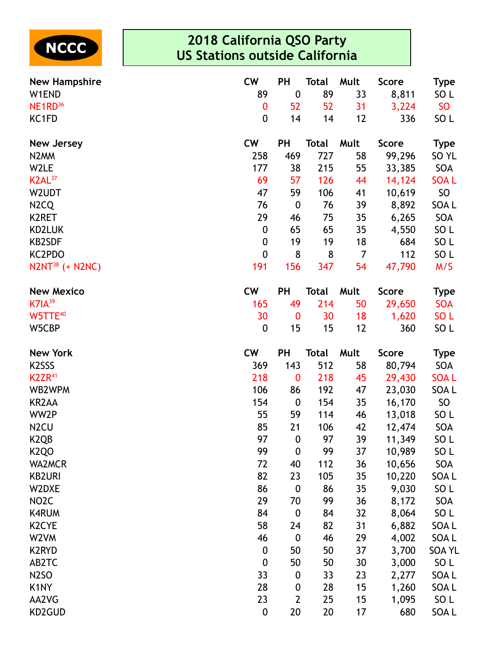

| <b>New Hampshire</b>             | <b>CW</b>              | PH                   | <b>Total</b> | Mult     | <b>Score</b> | <b>Type</b>              |
|----------------------------------|------------------------|----------------------|--------------|----------|--------------|--------------------------|
| W1END                            | 89                     | $\boldsymbol{0}$     | 89           | 33       | 8,811        | SO <sub>L</sub>          |
| NE <sub>1</sub> RD <sup>36</sup> | $\bf{0}$               | 52                   | 52           | 31       | 3,224        | <b>SO</b>                |
| KC1FD                            | $\boldsymbol{0}$       | 14                   | 14           | 12       | 336          | SO <sub>L</sub>          |
| <b>New Jersey</b>                | <b>CW</b>              | <b>PH</b>            | <b>Total</b> | Mult     | <b>Score</b> | <b>Type</b>              |
| N <sub>2</sub> MM                | 258                    | 469                  | 727          | 58       | 99,296       | SO <sub>YL</sub>         |
| W2LE                             | 177                    | 38                   | 215          | 55       | 33,385       | SOA                      |
| K2AL <sup>37</sup>               | 69                     | 57                   | 126          | 44       | 14,124       | <b>SOAL</b>              |
| W2UDT                            | 47                     | 59                   | 106          | 41       | 10,619       | SO                       |
| N <sub>2</sub> C <sub>Q</sub>    | 76                     | $\boldsymbol{0}$     | 76           | 39       | 8,892        | SOA L                    |
| K2RET                            | 29                     | 46                   | 75           | 35       | 6,265        | SOA                      |
| KD2LUK                           | $\boldsymbol{0}$       | 65                   | 65           | 35       | 4,550        | SO <sub>L</sub>          |
| <b>KB2SDF</b>                    | $\boldsymbol{0}$       | 19                   | 19           | 18       | 684          | SO <sub>L</sub>          |
| KC2PDO                           | $\mathbf 0$            | 8                    | 8            | 7        | 112          | SO <sub>L</sub>          |
| $N2NT^{38}$ (+ N2NC)             | 191                    | 156                  | 347          | 54       | 47,790       | M/S                      |
| <b>New Mexico</b>                | <b>CW</b>              | <b>PH</b>            | Total        | Mult     | <b>Score</b> | <b>Type</b>              |
| $K7IA^{39}$                      | 165                    | 49                   | 214          | 50       | 29,650       | <b>SOA</b>               |
| W5TTE <sup>40</sup>              | 30                     | $\bf{0}$             | 30           | 18       | 1,620        | SO <sub>L</sub>          |
| W5CBP                            | $\boldsymbol{0}$       | 15                   | 15           | 12       | 360          | SO <sub>L</sub>          |
|                                  |                        |                      |              |          |              |                          |
| <b>New York</b>                  | <b>CW</b>              | PH                   | <b>Total</b> | Mult     | <b>Score</b> | <b>Type</b>              |
| K <sub>2</sub> SSS               | 369                    | 143                  | 512          | 58       | 80,794       | SOA                      |
| K <sub>2</sub> ZR <sup>41</sup>  | 218                    | $\bf{0}$             | 218          | 45       | 29,430       | <b>SOAL</b>              |
| WB2WPM                           | 106                    | 86                   | 192          | 47       | 23,030       | SOA L                    |
| <b>KR2AA</b>                     | 154                    | $\boldsymbol{0}$     | 154          | 35       | 16,170       | SO                       |
| WW2P                             | 55                     | 59                   | 114          | 46       | 13,018       | SO <sub>L</sub>          |
| N <sub>2</sub> CU                | 85                     | 21                   | 106          | 42       | 12,474       | SOA                      |
| K <sub>2Q</sub> B                | 97                     | $\mathbf 0$          | 97           | 39       | 11,349       | SO <sub>L</sub>          |
| <b>K2QO</b>                      | 99                     | $\boldsymbol{0}$     | 99           | 37       | 10,989       | SO <sub>L</sub>          |
| <b>WA2MCR</b>                    | 72                     | 40                   | 112          | 36       | 10,656       | SOA                      |
| <b>KB2URI</b>                    | 82                     | 23                   | 105          | 35       | 10,220       | SOA L                    |
| W2DXE                            | 86                     | $\boldsymbol{0}$     | 86           | 35       | 9,030        | SO <sub>L</sub>          |
| NO <sub>2</sub> C                | 29                     | 70                   | 99           | 36       | 8,172        | SOA                      |
| <b>K4RUM</b>                     | 84                     | $\boldsymbol{0}$     | 84           | 32       | 8,064        | SO <sub>L</sub>          |
| K <sub>2</sub> CYE               | 58                     | 24                   | 82           | 31       | 6,882        | SOA L                    |
| W2VM                             | 46                     | $\boldsymbol{0}$     | 46           | 29       | 4,002        | SOA L                    |
| <b>K2RYD</b>                     | $\boldsymbol{0}$       | 50                   | 50           | 37       | 3,700        | <b>SOA YL</b>            |
| AB2TC                            | $\boldsymbol{0}$       | 50                   | 50           | 30       | 3,000        | SO <sub>L</sub>          |
| <b>N2SO</b>                      | 33                     | $\boldsymbol{0}$     | 33           | 23       | 2,277        | SOA L                    |
| K <sub>1</sub> NY                | 28                     | $\boldsymbol{0}$     | 28           | 15       | 1,260        | SOA L                    |
| AA2VG<br>KD2GUD                  | 23<br>$\boldsymbol{0}$ | $\overline{2}$<br>20 | 25<br>20     | 15<br>17 | 1,095<br>680 | SO <sub>L</sub><br>SOA L |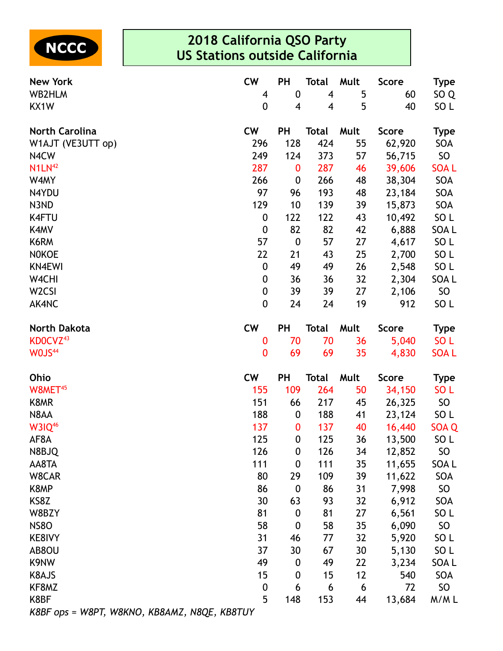

| <b>New York</b>                              | <b>CW</b>        | PH               | <b>Total</b> | Mult | <b>Score</b> | <b>Type</b>      |
|----------------------------------------------|------------------|------------------|--------------|------|--------------|------------------|
| WB2HLM                                       | 4                | $\boldsymbol{0}$ | 4            | 5    | 60           | SO <sub>Q</sub>  |
| KX1W                                         | 0                | 4                | 4            | 5    | 40           | SO L             |
| <b>North Carolina</b>                        | <b>CW</b>        | <b>PH</b>        | <b>Total</b> | Mult | <b>Score</b> | <b>Type</b>      |
| W1AJT (VE3UTT op)                            | 296              | 128              | 424          | 55   | 62,920       | SOA              |
| N4CW                                         | 249              | 124              | 373          | 57   | 56,715       | SO               |
| N1LN <sup>42</sup>                           | 287              | $\bf{0}$         | 287          | 46   | 39,606       | <b>SOAL</b>      |
| W4MY                                         | 266              | $\boldsymbol{0}$ | 266          | 48   | 38,304       | SOA              |
| N4YDU                                        | 97               | 96               | 193          | 48   | 23,184       | SOA              |
| N3ND                                         | 129              | 10               | 139          | 39   | 15,873       | SOA              |
| <b>K4FTU</b>                                 | $\boldsymbol{0}$ | 122              | 122          | 43   | 10,492       | SO <sub>L</sub>  |
| K4MV                                         | $\boldsymbol{0}$ | 82               | 82           | 42   | 6,888        | SOA <sub>L</sub> |
| K6RM                                         | 57               | $\boldsymbol{0}$ | 57           | 27   | 4,617        | SO <sub>L</sub>  |
| <b>NOKOE</b>                                 | 22               | 21               | 43           | 25   | 2,700        | SO <sub>L</sub>  |
| <b>KN4EWI</b>                                | $\boldsymbol{0}$ | 49               | 49           | 26   | 2,548        | SO <sub>L</sub>  |
| W4CHI                                        | $\boldsymbol{0}$ | 36               | 36           | 32   | 2,304        | SOA <sub>L</sub> |
| W <sub>2</sub> CSI                           | $\boldsymbol{0}$ | 39               | 39           | 27   | 2,106        | SO               |
| AK4NC                                        | 0                | 24               | 24           | 19   | 912          | SO <sub>L</sub>  |
| <b>North Dakota</b>                          | <b>CW</b>        | PH               | Total        | Mult | <b>Score</b> | <b>Type</b>      |
| KD0CVZ <sup>43</sup>                         | 0                | 70               | 70           | 36   | 5,040        | SO <sub>L</sub>  |
| WOJS <sup>44</sup>                           | 0                | 69               | 69           | 35   | 4,830        | <b>SOAL</b>      |
| Ohio                                         | <b>CW</b>        | <b>PH</b>        | <b>Total</b> | Mult | <b>Score</b> | <b>Type</b>      |
| W8MET <sup>45</sup>                          | 155              | 109              | 264          | 50   | 34,150       | SO <sub>L</sub>  |
| K8MR                                         | 151              | 66               | 217          | 45   | 26,325       | SO               |
| N8AA                                         | 188              | $\boldsymbol{0}$ | 188          | 41   | 23,124       | SO <sub>L</sub>  |
| <b>W3IQ46</b>                                | 137              | $\bf{0}$         | 137          | 40   | 16,440       | SOA Q            |
| AF8A                                         | 125              | $\mathbf 0$      | 125          | 36   | 13,500       | SO <sub>L</sub>  |
| N8BJQ                                        | 126              | $\boldsymbol{0}$ | 126          | 34   | 12,852       | SO <sub>1</sub>  |
| AA8TA                                        | 111              | 0                | 111          | 35   | 11,655       | SOA L            |
| W8CAR                                        | 80               | 29               | 109          | 39   | 11,622       | SOA              |
| K8MP                                         | 86               | $\boldsymbol{0}$ | 86           | 31   | 7,998        | <b>SO</b>        |
| KS8Z                                         | 30               | 63               | 93           | 32   | 6,912        | SOA              |
| W8BZY                                        | 81               | $\boldsymbol{0}$ | 81           | 27   | 6,561        | SO <sub>L</sub>  |
| <b>NS80</b>                                  | 58               | $\boldsymbol{0}$ | 58           | 35   | 6,090        | SO               |
| KE8IVY                                       | 31               | 46               | 77           | 32   | 5,920        | SO <sub>L</sub>  |
| AB8OU                                        | 37               | 30               | 67           | 30   | 5,130        | SO L             |
| K9NW                                         | 49               | 0                | 49           | 22   | 3,234        | SOA L            |
| K8AJS                                        | 15               | 0                | 15           | 12   | 540          | SOA              |
| KF8MZ                                        | $\boldsymbol{0}$ | 6                | 6            | 6    | 72           | SO               |
| K8BF                                         | 5                | 148              | 153          | 44   | 13,684       | M/ML             |
| K8BF ops = W8PT, W8KNO, KB8AMZ, N8QE, KB8TUY |                  |                  |              |      |              |                  |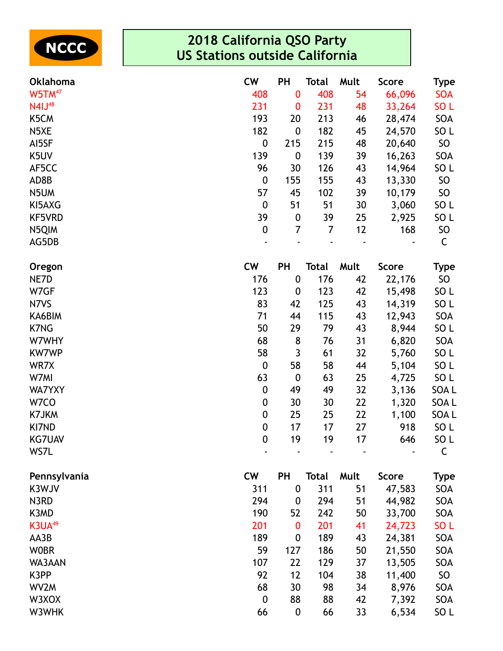

| <b>Oklahoma</b>    | <b>CW</b>        | <b>PH</b>        | Total          | Mult | <b>Score</b>                 | Type            |
|--------------------|------------------|------------------|----------------|------|------------------------------|-----------------|
| W5TM <sup>47</sup> | 408              | $\bf{0}$         | 408            | 54   | 66,096                       | <b>SOA</b>      |
| N41J <sup>48</sup> | 231              | $\bf{0}$         | 231            | 48   | 33,264                       | SO <sub>L</sub> |
| K5CM               | 193              | 20               | 213            | 46   | 28,474                       | SOA             |
| N <sub>5</sub> XE  | 182              | $\boldsymbol{0}$ | 182            | 45   | 24,570                       | SO <sub>L</sub> |
| AI5SF              | $\boldsymbol{0}$ | 215              | 215            | 48   | 20,640                       | SO              |
| K5UV               | 139              | $\boldsymbol{0}$ | 139            | 39   | 16,263                       | SOA             |
| AF5CC              | 96               | 30               | 126            | 43   | 14,964                       | SO <sub>L</sub> |
| AD8B               | $\boldsymbol{0}$ | 155              | 155            | 43   | 13,330                       | SO              |
| N5UM               | 57               | 45               | 102            | 39   | 10,179                       | SO              |
| KI5AXG             | $\boldsymbol{0}$ | 51               | 51             | 30   | 3,060                        | SO <sub>L</sub> |
| <b>KF5VRD</b>      | 39               | $\boldsymbol{0}$ | 39             | 25   | 2,925                        | SO <sub>L</sub> |
| N5QIM              | $\boldsymbol{0}$ | $\overline{7}$   | $\overline{7}$ | 12   | 168                          | SO              |
| AG5DB              |                  |                  |                |      |                              | C               |
| Oregon             | <b>CW</b>        | PH               | <b>Total</b>   | Mult | <b>Score</b>                 | <b>Type</b>     |
| NE7D               | 176              | $\boldsymbol{0}$ | 176            | 42   | 22,176                       | SO              |
| W7GF               | 123              | $\boldsymbol{0}$ | 123            | 42   | 15,498                       | SO <sub>L</sub> |
| N7VS               | 83               | 42               | 125            | 43   | 14,319                       | SO <sub>L</sub> |
| KA6BIM             | 71               | 44               | 115            | 43   | 12,943                       | SOA             |
| <b>K7NG</b>        | 50               | 29               | 79             | 43   | 8,944                        | SO <sub>L</sub> |
| W7WHY              | 68               | 8                | 76             | 31   | 6,820                        | SOA             |
| <b>KW7WP</b>       | 58               | $\overline{3}$   | 61             | 32   | 5,760                        | SO <sub>L</sub> |
| WR7X               | $\boldsymbol{0}$ | 58               | 58             | 44   | 5,104                        | SO <sub>L</sub> |
| W7MI               | 63               | $\boldsymbol{0}$ | 63             | 25   | 4,725                        | SO <sub>L</sub> |
| <b>WA7YXY</b>      | $\boldsymbol{0}$ | 49               | 49             | 32   | 3,136                        | SOA L           |
| W7CO               | $\boldsymbol{0}$ | 30               | 30             | 22   | 1,320                        | SOA L           |
| K7JKM              | $\boldsymbol{0}$ | 25               | 25             | 22   | 1,100                        | SOA L           |
| KI7ND              | $\boldsymbol{0}$ | 17               | 17             | 27   | 918                          | SO L            |
| <b>KG7UAV</b>      | $\mathbf 0$      | 19               | 19             | 17   | 646                          | SO <sub>L</sub> |
| WS7L               |                  |                  |                |      | $\qquad \qquad \blacksquare$ | C               |
| Pennsylvania       | <b>CW</b>        | PH               | <b>Total</b>   | Mult | <b>Score</b>                 | <b>Type</b>     |
| K3WJV              | 311              | $\boldsymbol{0}$ | 311            | 51   | 47,583                       | SOA             |
| N3RD               | 294              | $\boldsymbol{0}$ | 294            | 51   | 44,982                       | SOA             |
| K3MD               | 190              | 52               | 242            | 50   | 33,700                       | SOA             |
| K3UA <sup>49</sup> | 201              | $\bf{0}$         | 201            | 41   | 24,723                       | SO <sub>L</sub> |
| AA3B               | 189              | 0                | 189            | 43   | 24,381                       | SOA             |
| <b>WOBR</b>        | 59               | 127              | 186            | 50   | 21,550                       | SOA             |
| WA3AAN             | 107              | 22               | 129            | 37   | 13,505                       | SOA             |
| K3PP               | 92               | 12               | 104            | 38   | 11,400                       | SO              |
| WV2M               | 68               | 30               | 98             | 34   | 8,976                        | SOA             |
| W3XOX              | $\mathbf 0$      | 88               | 88             | 42   | 7,392                        | SOA             |
| W3WHK              | 66               | $\boldsymbol{0}$ | 66             | 33   | 6,534                        | SO <sub>L</sub> |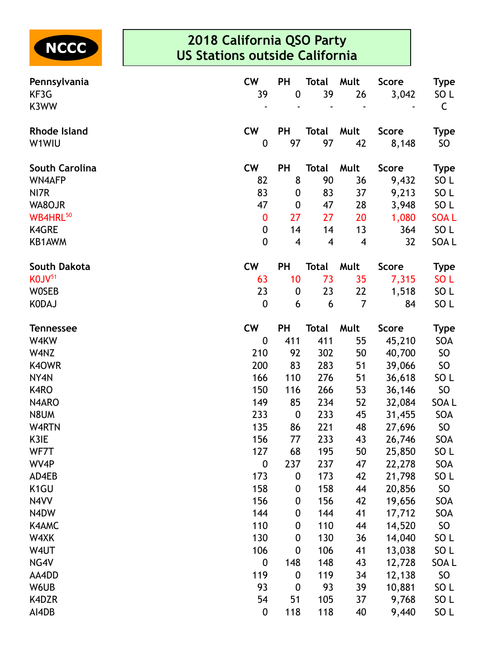

| Pennsylvania          | <b>CW</b>        | PH                      | <b>Total</b>            | Mult                    | <b>Score</b> | <b>Type</b>     |
|-----------------------|------------------|-------------------------|-------------------------|-------------------------|--------------|-----------------|
| KF3G                  | 39               | $\boldsymbol{0}$        | 39                      | 26                      | 3,042        | SO L            |
| K3WW                  |                  |                         |                         |                         |              | C               |
| <b>Rhode Island</b>   | <b>CW</b>        | PH                      | <b>Total</b>            | Mult                    | <b>Score</b> | <b>Type</b>     |
| W1WIU                 | $\boldsymbol{0}$ | 97                      | 97                      | 42                      | 8,148        | SO              |
| <b>South Carolina</b> | <b>CW</b>        | <b>PH</b>               | <b>Total</b>            | Mult                    | <b>Score</b> | <b>Type</b>     |
| <b>WN4AFP</b>         | 82               | 8                       | 90                      | 36                      | 9,432        | SO <sub>L</sub> |
| NI7R                  | 83               | $\boldsymbol{0}$        | 83                      | 37                      | 9,213        | SO <sub>L</sub> |
| WA8OJR                | 47               | $\boldsymbol{0}$        | 47                      | 28                      | 3,948        | SO <sub>L</sub> |
| WB4HRL <sup>50</sup>  | $\bf{0}$         | 27                      | 27                      | 20                      | 1,080        | <b>SOAL</b>     |
| <b>K4GRE</b>          | $\boldsymbol{0}$ | 14                      | 14                      | 13                      | 364          | SO <sub>L</sub> |
| KB1AWM                | $\mathbf 0$      | $\overline{\mathbf{4}}$ | $\overline{\mathbf{4}}$ | $\overline{\mathbf{4}}$ | 32           | SOA L           |
| <b>South Dakota</b>   | <b>CW</b>        | <b>PH</b>               | <b>Total</b>            | Mult                    | <b>Score</b> | <b>Type</b>     |
| KOJV <sup>51</sup>    | 63               | 10                      | 73                      | 35                      | 7,315        | SO <sub>L</sub> |
| <b>WOSEB</b>          | 23               | $\boldsymbol{0}$        | 23                      | 22                      | 1,518        | SO <sub>L</sub> |
| <b>KODAJ</b>          | $\boldsymbol{0}$ | 6                       | 6                       | $\overline{7}$          | 84           | SO <sub>L</sub> |
| <b>Tennessee</b>      | <b>CW</b>        | <b>PH</b>               | <b>Total</b>            | Mult                    | <b>Score</b> | <b>Type</b>     |
| W4KW                  | $\mathbf{0}$     | 411                     | 411                     | 55                      | 45,210       | SOA             |
| W4NZ                  | 210              | 92                      | 302                     | 50                      | 40,700       | SO              |
| K40WR                 | 200              | 83                      | 283                     | 51                      | 39,066       | SO              |
| NY4N                  | 166              | 110                     | 276                     | 51                      | 36,618       | SO <sub>L</sub> |
| K4RO                  | 150              | 116                     | 266                     | 53                      | 36,146       | SO              |
| N4ARO                 | 149              | 85                      | 234                     | 52                      | 32,084       | SOA L           |
| N8UM                  | 233              | $\boldsymbol{0}$        | 233                     | 45                      | 31,455       | SOA             |
| W4RTN                 | 135              | 86                      | 221                     | 48                      | 27,696       | SO              |
| K3IE                  | 156              | 77                      | 233                     | 43                      | 26,746       | SOA             |
| WF7T                  | 127              | 68                      | 195                     | 50                      | 25,850       | SO <sub>L</sub> |
| WV4P                  | $\boldsymbol{0}$ | 237                     | 237                     | 47                      | 22,278       | SOA             |
| AD4EB                 | 173              | 0                       | 173                     | 42                      | 21,798       | SO <sub>L</sub> |
| K <sub>1</sub> GU     | 158              | 0                       | 158                     | 44                      | 20,856       | SO              |
| N4VV                  | 156              | 0                       | 156                     | 42                      | 19,656       | SOA             |
| N4DW                  | 144              | 0                       | 144                     | 41                      | 17,712       | SOA             |
| K4AMC                 | 110              | $\boldsymbol{0}$        | 110                     | 44                      | 14,520       | SO              |
| W4XK                  | 130              | 0                       | 130                     | 36                      | 14,040       | SO <sub>L</sub> |
| W4UT                  | 106              | $\boldsymbol{0}$        | 106                     | 41                      | 13,038       | SO <sub>L</sub> |
| NG4V                  | $\boldsymbol{0}$ | 148                     | 148                     | 43                      | 12,728       | SOA L           |
| AA4DD                 | 119              | 0                       | 119                     | 34                      | 12,138       | SO              |
| W6UB                  | 93               | $\boldsymbol{0}$        | 93                      | 39                      | 10,881       | SO <sub>L</sub> |
| K4DZR                 | 54               | 51                      | 105                     | 37                      | 9,768        | SO <sub>L</sub> |
| AI4DB                 | $\boldsymbol{0}$ | 118                     | 118                     | 40                      | 9,440        | SO <sub>L</sub> |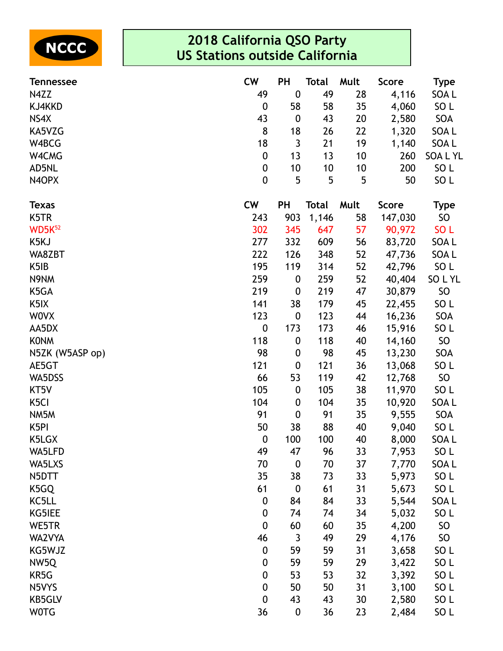

| <b>Tennessee</b>   | <b>CW</b>        | PH               | <b>Total</b> | Mult | <b>Score</b> | <b>Type</b>     |
|--------------------|------------------|------------------|--------------|------|--------------|-----------------|
| N4ZZ               | 49               | $\mathbf 0$      | 49           | 28   | 4,116        | SOA L           |
| KJ4KKD             | $\boldsymbol{0}$ | 58               | 58           | 35   | 4,060        | SO <sub>L</sub> |
| NS4X               | 43               | $\boldsymbol{0}$ | 43           | 20   | 2,580        | SOA             |
| KA5VZG             | 8                | 18               | 26           | 22   | 1,320        | SOA L           |
| W4BCG              | 18               | $\mathfrak{Z}$   | 21           | 19   | 1,140        | SOA L           |
| W4CMG              | 0                | 13               | 13           | 10   | 260          | SOA L YL        |
| AD5NL              | $\pmb{0}$        | 10               | 10           | 10   | 200          | SO <sub>L</sub> |
| N4OPX              | $\boldsymbol{0}$ | 5                | 5            | 5    | 50           | SO <sub>L</sub> |
| <b>Texas</b>       | <b>CW</b>        | <b>PH</b>        | <b>Total</b> | Mult | <b>Score</b> | <b>Type</b>     |
| K5TR               | 243              | 903              | 1,146        | 58   | 147,030      | <b>SO</b>       |
| WD5K <sup>52</sup> | 302              | 345              | 647          | 57   | 90,972       | SO <sub>L</sub> |
| K5KJ               | 277              | 332              | 609          | 56   | 83,720       | SOA L           |
| WA8ZBT             | 222              | 126              | 348          | 52   | 47,736       | SOA L           |
| K <sub>5</sub> IB  | 195              | 119              | 314          | 52   | 42,796       | SO <sub>L</sub> |
| N9NM               | 259              | $\boldsymbol{0}$ | 259          | 52   | 40,404       | SO L YL         |
| K5GA               | 219              | $\boldsymbol{0}$ | 219          | 47   | 30,879       | <b>SO</b>       |
| K <sub>5</sub> IX  | 141              | 38               | 179          | 45   | 22,455       | SO <sub>L</sub> |
| <b>WOVX</b>        | 123              | $\boldsymbol{0}$ | 123          | 44   | 16,236       | SOA             |
| AA5DX              | $\boldsymbol{0}$ | 173              | 173          | 46   | 15,916       | SO <sub>L</sub> |
| <b>KONM</b>        | 118              | $\boldsymbol{0}$ | 118          | 40   | 14,160       | SO              |
| N5ZK (W5ASP op)    | 98               | $\boldsymbol{0}$ | 98           | 45   | 13,230       | SOA             |
| AE5GT              | 121              | $\boldsymbol{0}$ | 121          | 36   | 13,068       | SO <sub>L</sub> |
| WA5DSS             | 66               | 53               | 119          | 42   | 12,768       | SO              |
| KT5V               | 105              | $\boldsymbol{0}$ | 105          | 38   | 11,970       | SO <sub>L</sub> |
| K <sub>5</sub> Cl  | 104              | $\boldsymbol{0}$ | 104          | 35   | 10,920       | SOA L           |
| NM5M               | 91               | $\boldsymbol{0}$ | 91           | 35   | 9,555        | SOA             |
| K <sub>5</sub> PI  | 50               | 38               | 88           | 40   | 9,040        | SO <sub>L</sub> |
| K5LGX              | $\pmb{0}$        | 100              | 100          | 40   | 8,000        | SOA L           |
| WA5LFD             | 49               | 47               | 96           | 33   | 7,953        | SO <sub>L</sub> |
| WA5LXS             | 70               | $\mathbf 0$      | 70           | 37   | 7,770        | SOA L           |
| N5DTT              | 35               | 38               | 73           | 33   | 5,973        | SO <sub>L</sub> |
| K5GQ               | 61               | $\boldsymbol{0}$ | 61           | 31   | 5,673        | SO <sub>L</sub> |
| KC5LL              | $\boldsymbol{0}$ | 84               | 84           | 33   | 5,544        | SOA L           |
| KG5IEE             | $\pmb{0}$        | 74               | 74           | 34   | 5,032        | SO <sub>L</sub> |
| WE5TR              | $\boldsymbol{0}$ | 60               | 60           | 35   | 4,200        | <b>SO</b>       |
| WA2VYA             | 46               | 3                | 49           | 29   | 4,176        | <b>SO</b>       |
| KG5WJZ             | $\boldsymbol{0}$ | 59               | 59           | 31   | 3,658        | SO <sub>L</sub> |
| NW5Q               | $\boldsymbol{0}$ | 59               | 59           | 29   | 3,422        | SO <sub>L</sub> |
| KR5G               | $\boldsymbol{0}$ | 53               | 53           | 32   | 3,392        | SO <sub>L</sub> |
| N5VYS              | $\pmb{0}$        | 50               | 50           | 31   | 3,100        | SO <sub>L</sub> |
| <b>KB5GLV</b>      | $\boldsymbol{0}$ | 43               | 43           | 30   | 2,580        | SO <sub>L</sub> |
| <b>WOTG</b>        | 36               | $\boldsymbol{0}$ | 36           | 23   | 2,484        | SO <sub>L</sub> |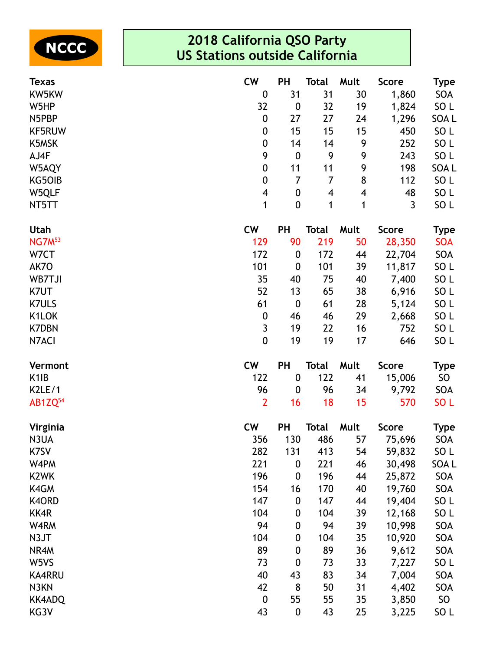

| <b>Texas</b>              | <b>CW</b>        | PH               | <b>Total</b>   | Mult                     | <b>Score</b>   | <b>Type</b>     |
|---------------------------|------------------|------------------|----------------|--------------------------|----------------|-----------------|
| KW5KW                     | $\boldsymbol{0}$ | 31               | 31             | 30                       | 1,860          | SOA             |
| W5HP                      | 32               | $\boldsymbol{0}$ | 32             | 19                       | 1,824          | SO L            |
| N5PBP                     | $\boldsymbol{0}$ | 27               | 27             | 24                       | 1,296          | SOA L           |
| KF5RUW                    | $\pmb{0}$        | 15               | 15             | 15                       | 450            | SO <sub>L</sub> |
| K5MSK                     | $\boldsymbol{0}$ | 14               | 14             | 9                        | 252            | SO <sub>L</sub> |
| AJ4F                      | 9                | $\boldsymbol{0}$ | 9              | 9                        | 243            | SO <sub>L</sub> |
| W5AQY                     | $\boldsymbol{0}$ | 11               | 11             | 9                        | 198            | SOA L           |
| KG50IB                    | $\pmb{0}$        | $\overline{7}$   | $\overline{7}$ | 8                        | 112            | SO <sub>L</sub> |
| W5QLF                     | 4                | $\pmb{0}$        | 4              | $\overline{\mathcal{A}}$ | 48             | SO <sub>L</sub> |
| NT5TT                     | 1                | $\boldsymbol{0}$ | 1              | 1                        | $\overline{3}$ | SO <sub>L</sub> |
| <b>Utah</b>               | <b>CW</b>        | PH               | <b>Total</b>   | Mult                     | <b>Score</b>   | <b>Type</b>     |
| <b>NG7M</b> <sup>53</sup> | 129              | 90               | 219            | 50                       | 28,350         | <b>SOA</b>      |
| W7CT                      | 172              | 0                | 172            | 44                       | 22,704         | SOA             |
| AK7O                      | 101              | $\boldsymbol{0}$ | 101            | 39                       | 11,817         | SO <sub>L</sub> |
| WB7TJI                    | 35               | 40               | 75             | 40                       | 7,400          | SO <sub>L</sub> |
| K7UT                      | 52               | 13               | 65             | 38                       | 6,916          | SO <sub>L</sub> |
| <b>K7ULS</b>              | 61               | $\boldsymbol{0}$ | 61             | 28                       | 5,124          | SO <sub>L</sub> |
| K1LOK                     | $\boldsymbol{0}$ | 46               | 46             | 29                       | 2,668          | SO <sub>L</sub> |
| <b>K7DBN</b>              | 3                | 19               | 22             | 16                       | 752            | SO <sub>L</sub> |
| N7ACI                     | $\mathbf 0$      | 19               | 19             | 17                       | 646            | SO <sub>L</sub> |
| Vermont                   | <b>CW</b>        | PH               | <b>Total</b>   | Mult                     | <b>Score</b>   | <b>Type</b>     |
| K <sub>1</sub> IB         | 122              | $\boldsymbol{0}$ | 122            | 41                       | 15,006         | SO              |
| K2LE/1                    | 96               | 0                | 96             | 34                       | 9,792          | SOA             |
| AB1ZQ <sup>54</sup>       | $\overline{2}$   | 16               | 18             | 15                       | 570            | SO <sub>L</sub> |
| Virginia                  | <b>CW</b>        | PH               | <b>Total</b>   | Mult                     | <b>Score</b>   | <b>Type</b>     |
| N3UA                      | 356              | 130              | 486            | 57                       | 75,696         | SOA             |
| K7SV                      | 282              | 131              | 413            | 54                       | 59,832         | SO L            |
| W4PM                      | 221              | $\boldsymbol{0}$ | 221            | 46                       | 30,498         | SOA L           |
| K <sub>2</sub> WK         | 196              | $\boldsymbol{0}$ | 196            | 44                       | 25,872         | SOA             |
| K4GM                      | 154              | 16               | 170            | 40                       | 19,760         | SOA             |
| K4ORD                     | 147              | $\boldsymbol{0}$ | 147            | 44                       | 19,404         | SO L            |
| KK4R                      | 104              | 0                | 104            | 39                       | 12,168         | SO <sub>L</sub> |
| W4RM                      | 94               | 0                | 94             | 39                       | 10,998         | SOA             |
| N3JT                      | 104              | 0                | 104            | 35                       | 10,920         | SOA             |
| NR4M                      | 89               | 0                | 89             | 36                       | 9,612          | SOA             |
| W5VS                      | 73               | 0                | 73             | 33                       | 7,227          | SO <sub>L</sub> |
| <b>KA4RRU</b>             | 40               | 43               | 83             | 34                       | 7,004          | SOA             |
| N3KN                      | 42               | 8                | 50             | 31                       | 4,402          | SOA             |
| <b>KK4ADQ</b>             | $\boldsymbol{0}$ | 55               | 55             | 35                       | 3,850          | SO              |
| KG3V                      | 43               | 0                | 43             | 25                       | 3,225          | SO <sub>L</sub> |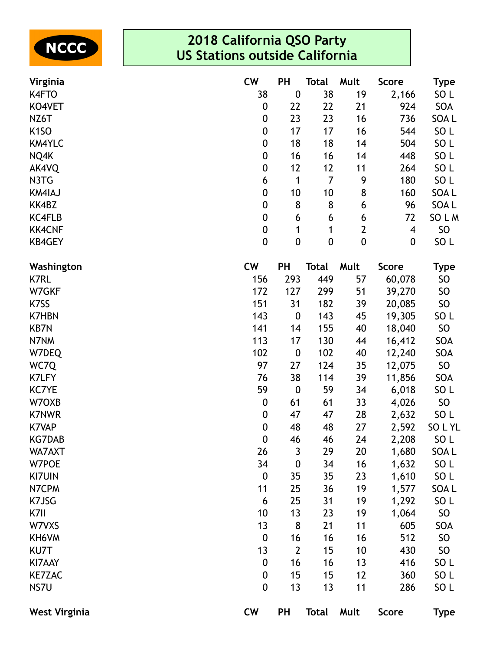

| Virginia             | <b>CW</b>        | PH               | Total          | Mult         | <b>Score</b> | <b>Type</b>     |
|----------------------|------------------|------------------|----------------|--------------|--------------|-----------------|
| K4FTO                | 38               | $\boldsymbol{0}$ | 38             | 19           | 2,166        | SO <sub>L</sub> |
| KO4VET               | 0                | 22               | 22             | 21           | 924          | SOA             |
| NZ6T                 | 0                | 23               | 23             | 16           | 736          | SOA L           |
| K <sub>1</sub> SO    | 0                | 17               | 17             | 16           | 544          | SO <sub>L</sub> |
| <b>KM4YLC</b>        | $\pmb{0}$        | 18               | 18             | 14           | 504          | SO <sub>L</sub> |
| NQ4K                 | 0                | 16               | 16             | 14           | 448          | SO <sub>L</sub> |
| AK4VQ                | 0                | 12               | 12             | 11           | 264          | SO <sub>L</sub> |
| N3TG                 | 6                | 1                | $\overline{7}$ | 9            | 180          | SO <sub>L</sub> |
| <b>KM4IAJ</b>        | $\pmb{0}$        | 10               | 10             | 8            | 160          | SOA L           |
| KK4BZ                | 0                | 8                | 8              | 6            | 96           | SOA L           |
| <b>KC4FLB</b>        | 0                | 6                | 6              | 6            | 72           | SO L M          |
| <b>KK4CNF</b>        | $\pmb{0}$        | 1                | 1              | $\mathbf{2}$ | 4            | <b>SO</b>       |
| <b>KB4GEY</b>        | $\pmb{0}$        | $\boldsymbol{0}$ | $\pmb{0}$      | $\pmb{0}$    | $\pmb{0}$    | SO <sub>L</sub> |
| Washington           | <b>CW</b>        | PH               | <b>Total</b>   | Mult         | <b>Score</b> | Type            |
| <b>K7RL</b>          | 156              | 293              | 449            | 57           | 60,078       | <b>SO</b>       |
| W7GKF                | 172              | 127              | 299            | 51           | 39,270       | <b>SO</b>       |
| K7SS                 | 151              | 31               | 182            | 39           | 20,085       | <b>SO</b>       |
| <b>K7HBN</b>         | 143              | $\boldsymbol{0}$ | 143            | 45           | 19,305       | SO <sub>L</sub> |
| <b>KB7N</b>          | 141              | 14               | 155            | 40           | 18,040       | <b>SO</b>       |
| N7NM                 | 113              | 17               | 130            | 44           | 16,412       | SOA             |
| W7DEQ                | 102              | $\boldsymbol{0}$ | 102            | 40           | 12,240       | SOA             |
| WC7Q                 | 97               | 27               | 124            | 35           | 12,075       | SO              |
| <b>K7LFY</b>         | 76               | 38               | 114            | 39           | 11,856       | SOA             |
| <b>KC7YE</b>         | 59               | $\boldsymbol{0}$ | 59             | 34           | 6,018        | SO <sub>L</sub> |
| W70XB                | 0                | 61               | 61             | 33           | 4,026        | SO              |
| <b>K7NWR</b>         | 0                | 47               | 47             | 28           | 2,632        | SO <sub>L</sub> |
| <b>K7VAP</b>         | 0                | 48               | 48             | 27           | 2,592        | SOLYL           |
| <b>KG7DAB</b>        | $\mathbf 0$      | 46               | 46             | 24           | 2,208        | SO <sub>L</sub> |
| WA7AXT               | 26               | 3                | 29             | 20           | 1,680        | SOA L           |
| W7POE                | 34               | $\boldsymbol{0}$ | 34             | 16           | 1,632        | SO <sub>L</sub> |
| <b>KI7UIN</b>        | $\boldsymbol{0}$ | 35               | 35             | 23           | 1,610        | SO <sub>L</sub> |
| N7CPM                | 11               | 25               | 36             | 19           | 1,577        | SOA L           |
| K7JSG                | 6                | 25               | 31             | 19           | 1,292        | SO <sub>L</sub> |
| K7II                 | 10               | 13               | 23             | 19           | 1,064        | <b>SO</b>       |
| W7VXS                | 13               | 8                | 21             | 11           | 605          | SOA             |
| KH6VM                | $\boldsymbol{0}$ | 16               | 16             | 16           | 512          | <b>SO</b>       |
| KU7T                 | 13               | $\overline{2}$   | 15             | 10           | 430          | <b>SO</b>       |
| KI7AAY               | $\boldsymbol{0}$ | 16               | 16             | 13           | 416          | SO <sub>L</sub> |
| <b>KE7ZAC</b>        | $\boldsymbol{0}$ | 15               | 15             | 12           | 360          | SO <sub>L</sub> |
| NS7U                 | 0                | 13               | 13             | 11           | 286          | SO <sub>L</sub> |
| <b>West Virginia</b> | <b>CW</b>        | <b>PH</b>        | <b>Total</b>   | Mult         | <b>Score</b> | <b>Type</b>     |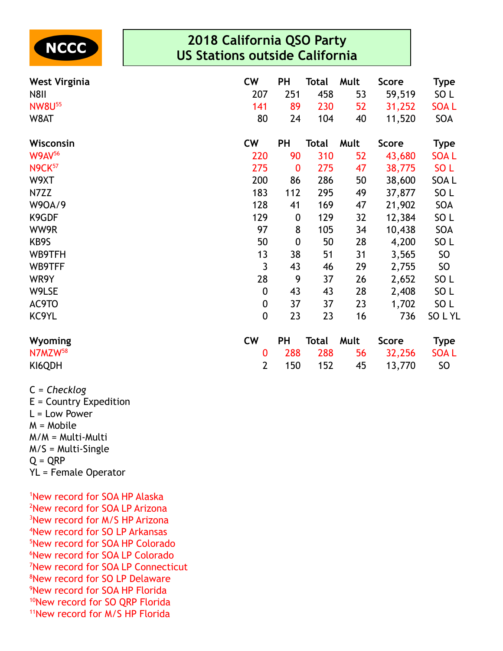

| <b>West Virginia</b><br><b>N8II</b><br><b>NW8U55</b><br>W8AT | <b>CW</b><br>207<br>141<br>80 | <b>PH</b><br>251<br>89<br>24 | Total<br>458<br>230<br>104 | Mult<br>53<br>52<br>40 | <b>Score</b><br>59,519<br>31,252<br>11,520 | <b>Type</b><br>SO <sub>L</sub><br><b>SOAL</b><br>SOA |
|--------------------------------------------------------------|-------------------------------|------------------------------|----------------------------|------------------------|--------------------------------------------|------------------------------------------------------|
| Wisconsin                                                    | <b>CW</b>                     | <b>PH</b>                    | Total                      | Mult                   | <b>Score</b>                               | <b>Type</b>                                          |
| <b>W9AV56</b>                                                | 220                           | 90                           | 310                        | 52                     | 43,680                                     | <b>SOAL</b>                                          |
| <b>N9CK</b> 57                                               | 275                           | $\bf{0}$                     | 275                        | 47                     | 38,775                                     | SO <sub>L</sub>                                      |
| W9XT                                                         | 200                           | 86                           | 286                        | 50                     | 38,600                                     | SOA L                                                |
| N7ZZ                                                         | 183                           | 112                          | 295                        | 49                     | 37,877                                     | SO <sub>L</sub>                                      |
| W90A/9                                                       | 128                           | 41                           | 169                        | 47                     | 21,902                                     | SOA                                                  |
| K9GDF                                                        | 129                           | $\boldsymbol{0}$             | 129                        | 32                     | 12,384                                     | SO <sub>L</sub>                                      |
| WW9R                                                         | 97                            | 8                            | 105                        | 34                     | 10,438                                     | SOA                                                  |
| KB9S                                                         | 50                            | $\boldsymbol{0}$             | 50                         | 28                     | 4,200                                      | SO <sub>L</sub>                                      |
| WB9TFH                                                       | 13                            | 38                           | 51                         | 31                     | 3,565                                      | SO                                                   |
| WB9TFF                                                       | 3                             | 43                           | 46                         | 29                     | 2,755                                      | SO                                                   |
| WR9Y                                                         | 28                            | 9                            | 37                         | 26                     | 2,652                                      | SO <sub>L</sub>                                      |
| W9LSE                                                        | $\boldsymbol{0}$              | 43                           | 43                         | 28                     | 2,408                                      | SO <sub>L</sub>                                      |
| AC9TO                                                        | $\boldsymbol{0}$              | 37                           | 37                         | 23                     | 1,702                                      | SO <sub>L</sub>                                      |
| KC9YL                                                        | $\boldsymbol{0}$              | 23                           | 23                         | 16                     | 736                                        | SOLYL                                                |
| Wyoming                                                      | <b>CW</b>                     | <b>PH</b>                    | Total                      | Mult                   | <b>Score</b>                               | <b>Type</b>                                          |
| N7MZW <sup>58</sup>                                          | $\bf{0}$                      | 288                          | 288                        | 56                     | 32,256                                     | <b>SOAL</b>                                          |
| KI6QDH                                                       | $\overline{2}$                | 150                          | 152                        | 45                     | 13,770                                     | <b>SO</b>                                            |

C = *Checklog* E = Country Expedition L = Low Power M = Mobile M/M = Multi-Multi M/S = Multi-Single  $Q = QRP$ YL = Female Operator

New record for SOA HP Alaska New record for SOA LP Arizona <sup>3</sup>New record for M/S HP Arizona New record for SO LP Arkansas New record for SOA HP Colorado New record for SOA LP Colorado New record for SOA LP Connecticut New record for SO LP Delaware New record for SOA HP Florida <sup>10</sup>New record for SO QRP Florida New record for M/S HP Florida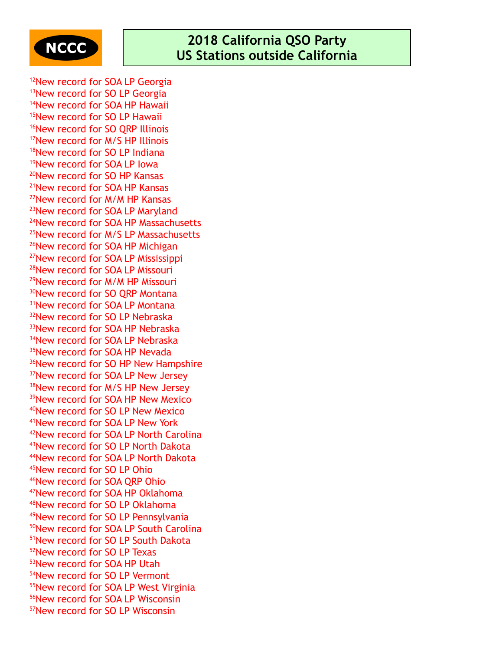

<sup>12</sup>New record for SOA LP Georgia <sup>13</sup>New record for SO LP Georgia New record for SOA HP Hawaii New record for SO LP Hawaii <sup>16</sup>New record for SO QRP Illinois New record for M/S HP Illinois <sup>18</sup>New record for SO LP Indiana New record for SOA LP Iowa New record for SO HP Kansas New record for SOA HP Kansas New record for M/M HP Kansas <sup>23</sup>New record for SOA LP Maryland New record for SOA HP Massachusetts <sup>25</sup>New record for M/S LP Massachusetts <sup>26</sup>New record for SOA HP Michigan New record for SOA LP Mississippi New record for SOA LP Missouri New record for M/M HP Missouri <sup>30</sup>New record for SO QRP Montana <sup>31</sup>New record for SOA LP Montana <sup>32</sup>New record for SO LP Nebraska <sup>33</sup>New record for SOA HP Nebraska <sup>34</sup>New record for SOA LP Nebraska <sup>35</sup>New record for SOA HP Nevada <sup>36</sup>New record for SO HP New Hampshire <sup>37</sup>New record for SOA LP New Jersey <sup>38</sup>New record for M/S HP New Jersey <sup>39</sup>New record for SOA HP New Mexico New record for SO LP New Mexico New record for SOA LP New York New record for SOA LP North Carolina New record for SO LP North Dakota New record for SOA LP North Dakota New record for SO LP Ohio New record for SOA QRP Ohio New record for SOA HP Oklahoma New record for SO LP Oklahoma New record for SO LP Pennsylvania New record for SOA LP South Carolina New record for SO LP South Dakota New record for SO LP Texas New record for SOA HP Utah New record for SO LP Vermont New record for SOA LP West Virginia New record for SOA LP Wisconsin New record for SO LP Wisconsin